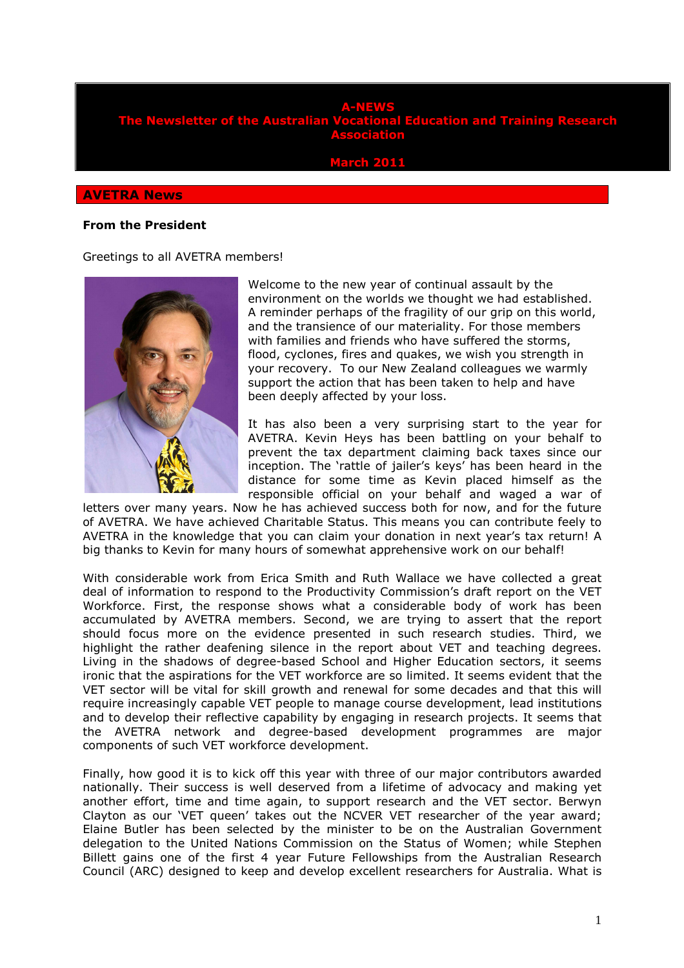### **A-NEWS the Australian Vocational Education and Training Research Association**

**March 2011** 

#### **AVETRA News**

#### **From the President**

Greetings to all AVETRA members!



Welcome to the new year of continual assault by the environment on the worlds we thought we had established. A reminder perhaps of the fragility of our grip on this world, and the transience of our materiality. For those members with families and friends who have suffered the storms, flood, cyclones, fires and quakes, we wish you strength in your recovery. To our New Zealand colleagues we warmly support the action that has been taken to help and have been deeply affected by your loss.

It has also been a very surprising start to the year for AVETRA. Kevin Heys has been battling on your behalf to prevent the tax department claiming back taxes since our inception. The 'rattle of jailer's keys' has been heard in the distance for some time as Kevin placed himself as the responsible official on your behalf and waged a war of

letters over many years. Now he has achieved success both for now, and for the future of AVETRA. We have achieved Charitable Status. This means you can contribute feely to AVETRA in the knowledge that you can claim your donation in next year's tax return! A big thanks to Kevin for many hours of somewhat apprehensive work on our behalf!

With considerable work from Erica Smith and Ruth Wallace we have collected a great deal of information to respond to the Productivity Commission's draft report on the VET Workforce. First, the response shows what a considerable body of work has been accumulated by AVETRA members. Second, we are trying to assert that the report should focus more on the evidence presented in such research studies. Third, we highlight the rather deafening silence in the report about VET and teaching degrees. Living in the shadows of degree-based School and Higher Education sectors, it seems ironic that the aspirations for the VET workforce are so limited. It seems evident that the VET sector will be vital for skill growth and renewal for some decades and that this will require increasingly capable VET people to manage course development, lead institutions and to develop their reflective capability by engaging in research projects. It seems that the AVETRA network and degree-based development programmes are major components of such VET workforce development.

Finally, how good it is to kick off this year with three of our major contributors awarded nationally. Their success is well deserved from a lifetime of advocacy and making yet another effort, time and time again, to support research and the VET sector. Berwyn Clayton as our 'VET queen' takes out the NCVER VET researcher of the year award; Elaine Butler has been selected by the minister to be on the Australian Government delegation to the United Nations Commission on the Status of Women; while Stephen Billett gains one of the first 4 year Future Fellowships from the Australian Research Council (ARC) designed to keep and develop excellent researchers for Australia. What is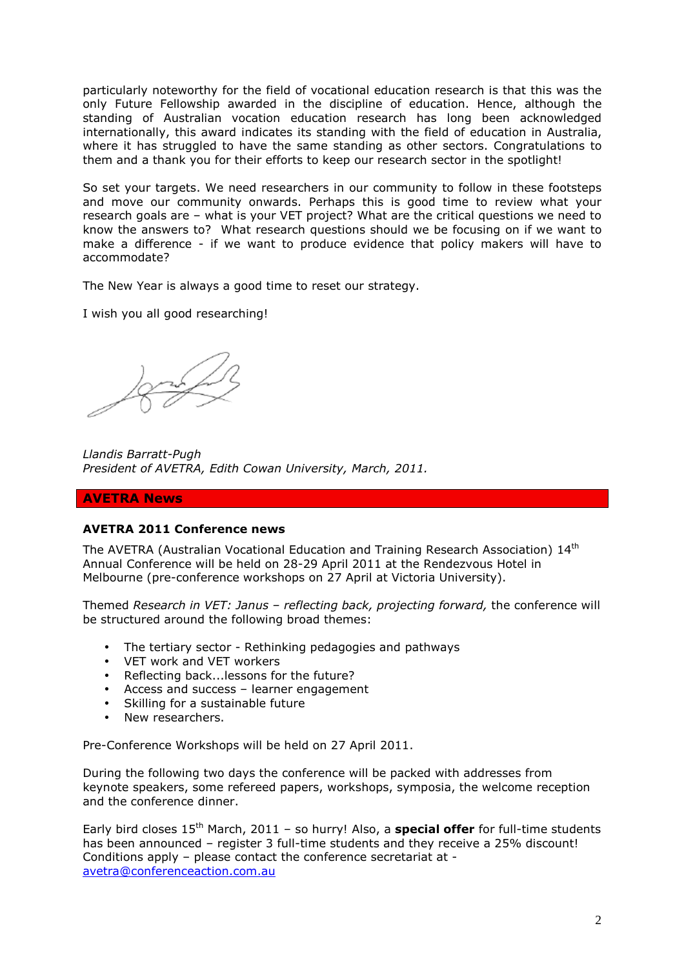particularly noteworthy for the field of vocational education research is that this was the only Future Fellowship awarded in the discipline of education. Hence, although the standing of Australian vocation education research has long been acknowledged internationally, this award indicates its standing with the field of education in Australia, where it has struggled to have the same standing as other sectors. Congratulations to them and a thank you for their efforts to keep our research sector in the spotlight!

So set your targets. We need researchers in our community to follow in these footsteps and move our community onwards. Perhaps this is good time to review what your research goals are – what is your VET project? What are the critical questions we need to know the answers to? What research questions should we be focusing on if we want to make a difference - if we want to produce evidence that policy makers will have to accommodate?

The New Year is always a good time to reset our strategy.

I wish you all good researching!

*Llandis Barratt-Pugh President of AVETRA, Edith Cowan University, March, 2011.* 

### **AVETRA News**

### **AVETRA 2011 Conference news**

The AVETRA (Australian Vocational Education and Training Research Association) 14<sup>th</sup> Annual Conference will be held on 28-29 April 2011 at the Rendezvous Hotel in Melbourne (pre-conference workshops on 27 April at Victoria University).

Themed *Research in VET: Janus – reflecting back, projecting forward,* the conference will be structured around the following broad themes:

- The tertiary sector Rethinking pedagogies and pathways
- VET work and VET workers
- Reflecting back...lessons for the future?
- Access and success learner engagement
- Skilling for a sustainable future
- New researchers.

Pre-Conference Workshops will be held on 27 April 2011.

During the following two days the conference will be packed with addresses from keynote speakers, some refereed papers, workshops, symposia, the welcome reception and the conference dinner.

Early bird closes 15<sup>th</sup> March, 2011 - so hurry! Also, a **special offer** for full-time students has been announced – register 3 full-time students and they receive a 25% discount! Conditions apply – please contact the conference secretariat at avetra@conferenceaction.com.au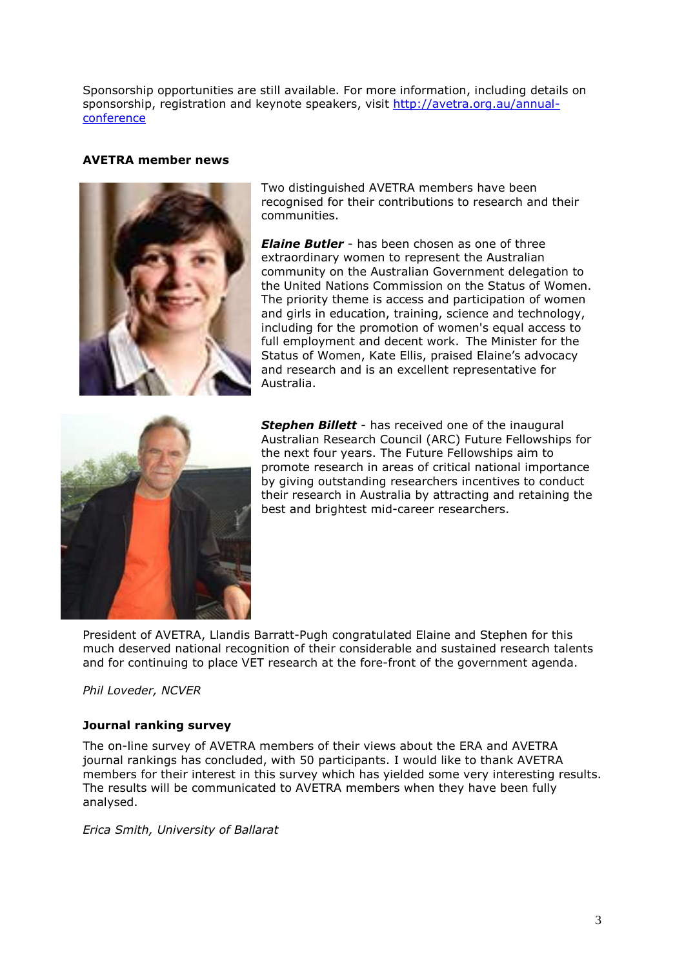Sponsorship opportunities are still available. For more information, including details on sponsorship, registration and keynote speakers, visit http://avetra.org.au/annualconference

# **AVETRA member news**



Two distinguished AVETRA members have been recognised for their contributions to research and their communities.

*Elaine Butler* - has been chosen as one of three extraordinary women to represent the Australian community on the Australian Government delegation to the United Nations Commission on the Status of Women. The priority theme is access and participation of women and girls in education, training, science and technology, including for the promotion of women's equal access to full employment and decent work. The Minister for the Status of Women, Kate Ellis, praised Elaine's advocacy and research and is an excellent representative for Australia.



**Stephen Billett** - has received one of the inaugural Australian Research Council (ARC) Future Fellowships for the next four years. The Future Fellowships aim to promote research in areas of critical national importance by giving outstanding researchers incentives to conduct their research in Australia by attracting and retaining the best and brightest mid-career researchers.

President of AVETRA, Llandis Barratt-Pugh congratulated Elaine and Stephen for this much deserved national recognition of their considerable and sustained research talents and for continuing to place VET research at the fore-front of the government agenda.

### *Phil Loveder, NCVER*

# **Journal ranking survey**

The on-line survey of AVETRA members of their views about the ERA and AVETRA journal rankings has concluded, with 50 participants. I would like to thank AVETRA members for their interest in this survey which has yielded some very interesting results. The results will be communicated to AVETRA members when they have been fully analysed.

*Erica Smith, University of Ballarat*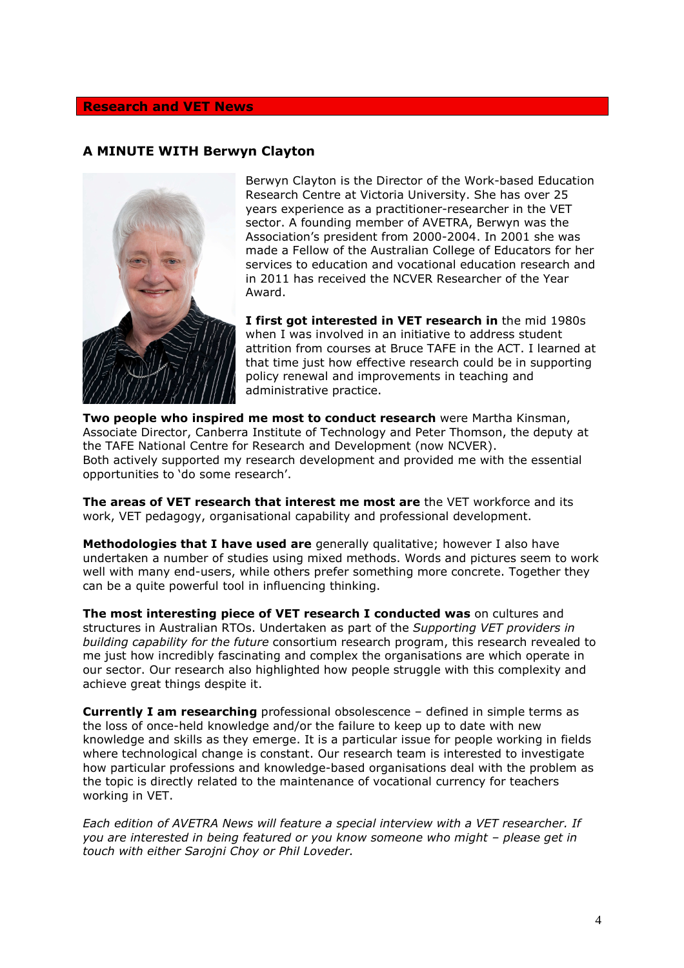### **Research and VET News**

# **A MINUTE WITH Berwyn Clayton**



Berwyn Clayton is the Director of the Work-based Education Research Centre at Victoria University. She has over 25 years experience as a practitioner-researcher in the VET sector. A founding member of AVETRA, Berwyn was the Association's president from 2000-2004. In 2001 she was made a Fellow of the Australian College of Educators for her services to education and vocational education research and in 2011 has received the NCVER Researcher of the Year Award.

**I first got interested in VET research in** the mid 1980s when I was involved in an initiative to address student attrition from courses at Bruce TAFE in the ACT. I learned at that time just how effective research could be in supporting policy renewal and improvements in teaching and administrative practice.

**Two people who inspired me most to conduct research** were Martha Kinsman, Associate Director, Canberra Institute of Technology and Peter Thomson, the deputy at the TAFE National Centre for Research and Development (now NCVER). Both actively supported my research development and provided me with the essential opportunities to 'do some research'.

**The areas of VET research that interest me most are** the VET workforce and its work, VET pedagogy, organisational capability and professional development.

**Methodologies that I have used are** generally qualitative; however I also have undertaken a number of studies using mixed methods. Words and pictures seem to work well with many end-users, while others prefer something more concrete. Together they can be a quite powerful tool in influencing thinking.

**The most interesting piece of VET research I conducted was** on cultures and structures in Australian RTOs. Undertaken as part of the *Supporting VET providers in building capability for the future* consortium research program, this research revealed to me just how incredibly fascinating and complex the organisations are which operate in our sector. Our research also highlighted how people struggle with this complexity and achieve great things despite it.

**Currently I am researching** professional obsolescence – defined in simple terms as the loss of once-held knowledge and/or the failure to keep up to date with new knowledge and skills as they emerge. It is a particular issue for people working in fields where technological change is constant. Our research team is interested to investigate how particular professions and knowledge-based organisations deal with the problem as the topic is directly related to the maintenance of vocational currency for teachers working in VET.

*Each edition of AVETRA News will feature a special interview with a VET researcher. If you are interested in being featured or you know someone who might – please get in touch with either Sarojni Choy or Phil Loveder.*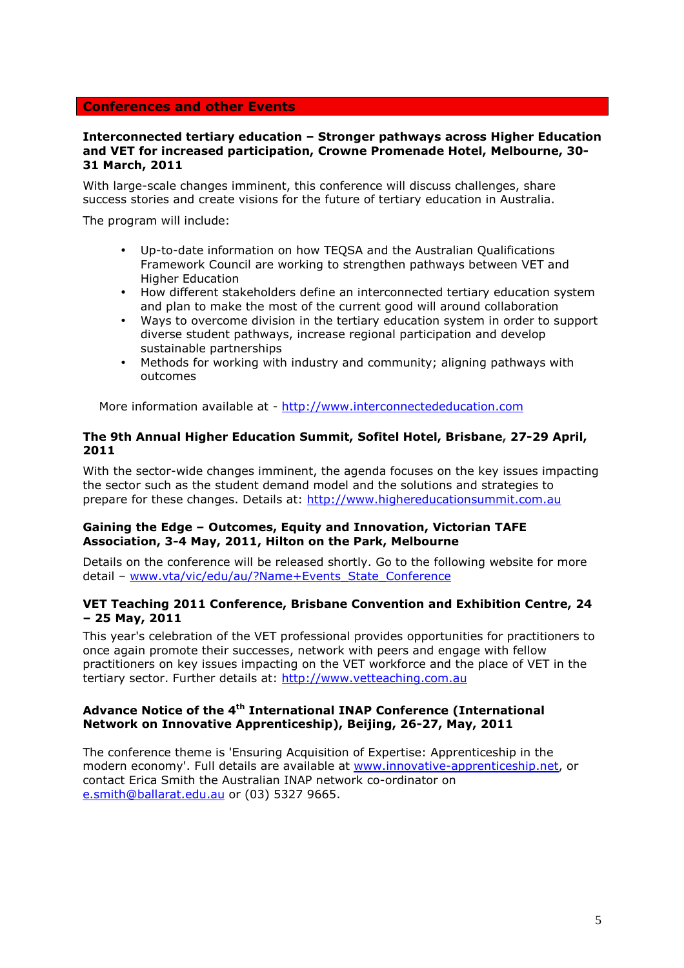### **Conferences and other Events**

#### **Interconnected tertiary education – Stronger pathways across Higher Education and VET for increased participation, Crowne Promenade Hotel, Melbourne, 30- 31 March, 2011**

With large-scale changes imminent, this conference will discuss challenges, share success stories and create visions for the future of tertiary education in Australia.

The program will include:

- Up-to-date information on how TEQSA and the Australian Qualifications Framework Council are working to strengthen pathways between VET and Higher Education
- How different stakeholders define an interconnected tertiary education system and plan to make the most of the current good will around collaboration
- Ways to overcome division in the tertiary education system in order to support diverse student pathways, increase regional participation and develop sustainable partnerships
- Methods for working with industry and community; aligning pathways with outcomes

More information available at - http://www.interconnectededucation.com

### **The 9th Annual Higher Education Summit, Sofitel Hotel, Brisbane, 27-29 April, 2011**

With the sector-wide changes imminent, the agenda focuses on the key issues impacting the sector such as the student demand model and the solutions and strategies to prepare for these changes. Details at: http://www.highereducationsummit.com.au

### **Gaining the Edge – Outcomes, Equity and Innovation, Victorian TAFE Association, 3-4 May, 2011, Hilton on the Park, Melbourne**

Details on the conference will be released shortly. Go to the following website for more detail - www.vta/vic/edu/au/?Name+Events\_State\_Conference

### **VET Teaching 2011 Conference, Brisbane Convention and Exhibition Centre, 24 – 25 May, 2011**

This year's celebration of the VET professional provides opportunities for practitioners to once again promote their successes, network with peers and engage with fellow practitioners on key issues impacting on the VET workforce and the place of VET in the tertiary sector. Further details at: http://www.vetteaching.com.au

### **Advance Notice of the 4th International INAP Conference (International Network on Innovative Apprenticeship), Beijing, 26-27, May, 2011**

The conference theme is 'Ensuring Acquisition of Expertise: Apprenticeship in the modern economy'. Full details are available at www.innovative-apprenticeship.net, or contact Erica Smith the Australian INAP network co-ordinator on e.smith@ballarat.edu.au or (03) 5327 9665.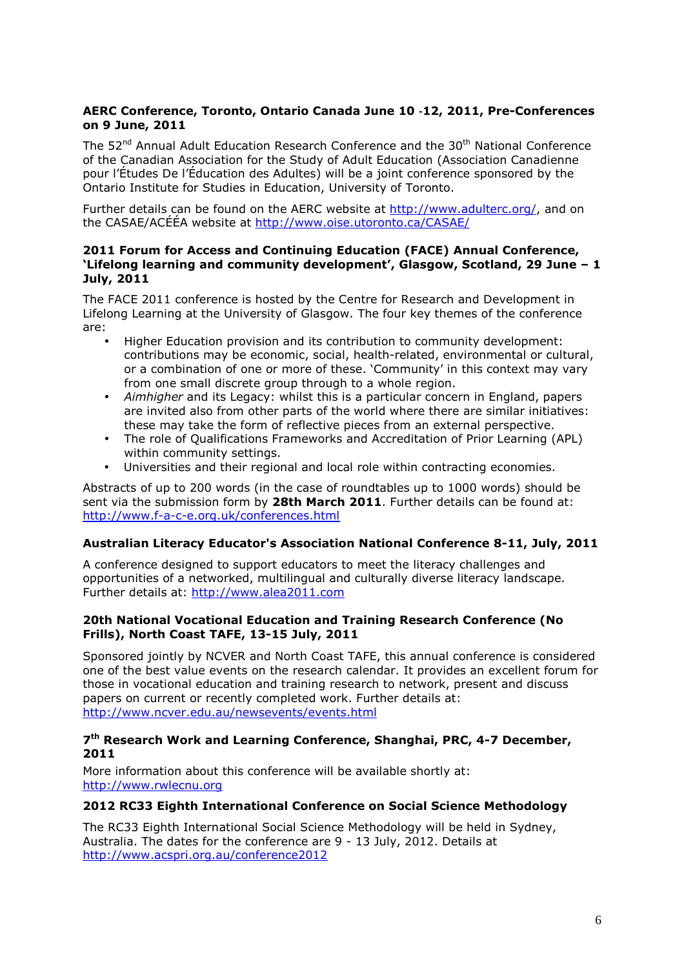# **AERC Conference, Toronto, Ontario Canada June 10** ‐**12, 2011, Pre-Conferences on 9 June, 2011**

The 52<sup>nd</sup> Annual Adult Education Research Conference and the 30<sup>th</sup> National Conference of the Canadian Association for the Study of Adult Education (Association Canadienne pour l'Études De l'Éducation des Adultes) will be a joint conference sponsored by the Ontario Institute for Studies in Education, University of Toronto.

Further details can be found on the AERC website at http://www.adulterc.org/, and on the CASAE/ACÉÉA website at http://www.oise.utoronto.ca/CASAE/

#### **2011 Forum for Access and Continuing Education (FACE) Annual Conference, 'Lifelong learning and community development', Glasgow, Scotland, 29 June – 1 July, 2011**

The FACE 2011 conference is hosted by the Centre for Research and Development in Lifelong Learning at the University of Glasgow. The four key themes of the conference are:

- Higher Education provision and its contribution to community development: contributions may be economic, social, health-related, environmental or cultural, or a combination of one or more of these. 'Community' in this context may vary from one small discrete group through to a whole region.
- *Aimhigher* and its Legacy: whilst this is a particular concern in England, papers are invited also from other parts of the world where there are similar initiatives: these may take the form of reflective pieces from an external perspective.
- The role of Qualifications Frameworks and Accreditation of Prior Learning (APL) within community settings.
- Universities and their regional and local role within contracting economies.

Abstracts of up to 200 words (in the case of roundtables up to 1000 words) should be sent via the submission form by **28th March 2011**. Further details can be found at: http://www.f-a-c-e.org.uk/conferences.html

# **Australian Literacy Educator's Association National Conference 8-11, July, 2011**

A conference designed to support educators to meet the literacy challenges and opportunities of a networked, multilingual and culturally diverse literacy landscape. Further details at: http://www.alea2011.com

### **20th National Vocational Education and Training Research Conference (No Frills), North Coast TAFE, 13-15 July, 2011**

Sponsored jointly by NCVER and North Coast TAFE, this annual conference is considered one of the best value events on the research calendar. It provides an excellent forum for those in vocational education and training research to network, present and discuss papers on current or recently completed work. Further details at: http://www.ncver.edu.au/newsevents/events.html

# **7 th Research Work and Learning Conference, Shanghai, PRC, 4-7 December, 2011**

More information about this conference will be available shortly at: http://www.rwlecnu.org

# **2012 RC33 Eighth International Conference on Social Science Methodology**

The RC33 Eighth International Social Science Methodology will be held in Sydney, Australia. The dates for the conference are 9 - 13 July, 2012. Details at http://www.acspri.org.au/conference2012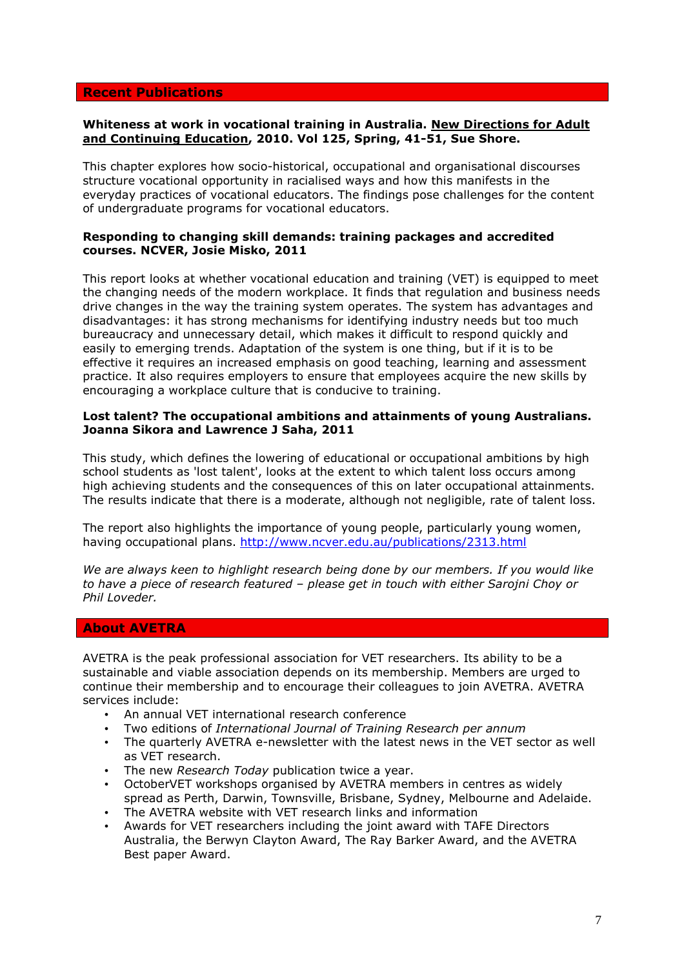### **Recent Publications**

#### **Whiteness at work in vocational training in Australia. New Directions for Adult and Continuing Education, 2010. Vol 125, Spring, 41-51, Sue Shore.**

This chapter explores how socio-historical, occupational and organisational discourses structure vocational opportunity in racialised ways and how this manifests in the everyday practices of vocational educators. The findings pose challenges for the content of undergraduate programs for vocational educators.

### **Responding to changing skill demands: training packages and accredited courses. NCVER, Josie Misko, 2011**

This report looks at whether vocational education and training (VET) is equipped to meet the changing needs of the modern workplace. It finds that regulation and business needs drive changes in the way the training system operates. The system has advantages and disadvantages: it has strong mechanisms for identifying industry needs but too much bureaucracy and unnecessary detail, which makes it difficult to respond quickly and easily to emerging trends. Adaptation of the system is one thing, but if it is to be effective it requires an increased emphasis on good teaching, learning and assessment practice. It also requires employers to ensure that employees acquire the new skills by encouraging a workplace culture that is conducive to training.

#### **Lost talent? The occupational ambitions and attainments of young Australians. Joanna Sikora and Lawrence J Saha, 2011**

This study, which defines the lowering of educational or occupational ambitions by high school students as 'lost talent', looks at the extent to which talent loss occurs among high achieving students and the consequences of this on later occupational attainments. The results indicate that there is a moderate, although not negligible, rate of talent loss.

The report also highlights the importance of young people, particularly young women, having occupational plans. http://www.ncver.edu.au/publications/2313.html

*We are always keen to highlight research being done by our members. If you would like to have a piece of research featured – please get in touch with either Sarojni Choy or Phil Loveder.* 

### **About AVETRA**

AVETRA is the peak professional association for VET researchers. Its ability to be a sustainable and viable association depends on its membership. Members are urged to continue their membership and to encourage their colleagues to join AVETRA. AVETRA services include:

- An annual VET international research conference
- Two editions of *International Journal of Training Research per annum*
- The quarterly AVETRA e-newsletter with the latest news in the VET sector as well as VET research.
- The new *Research Today* publication twice a year.
- OctoberVET workshops organised by AVETRA members in centres as widely spread as Perth, Darwin, Townsville, Brisbane, Sydney, Melbourne and Adelaide.
- The AVETRA website with VET research links and information
- Awards for VET researchers including the joint award with TAFE Directors Australia, the Berwyn Clayton Award, The Ray Barker Award, and the AVETRA Best paper Award.